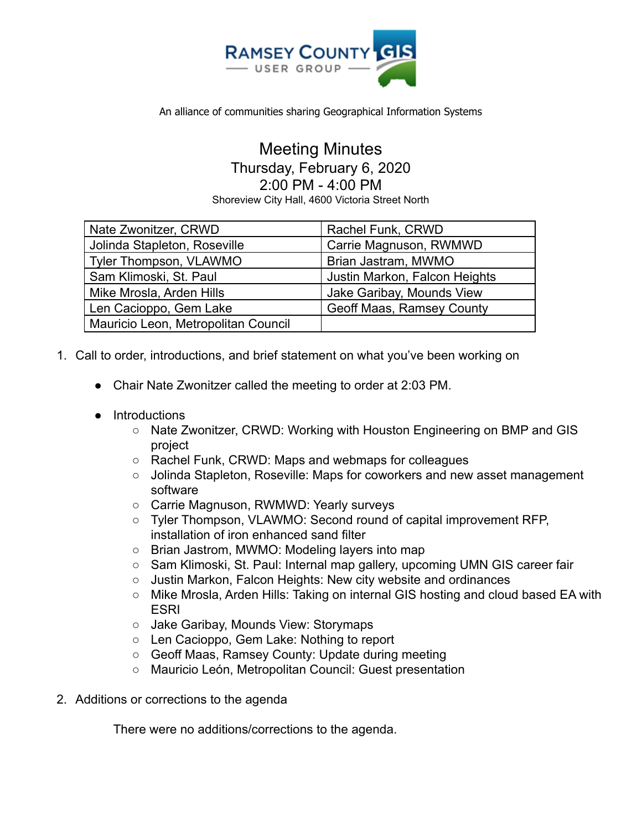

## Meeting Minutes Thursday, February 6, 2020 2:00 PM - 4:00 PM

Shoreview City Hall, 4600 Victoria Street North

| Nate Zwonitzer, CRWD                | Rachel Funk, CRWD                |
|-------------------------------------|----------------------------------|
| Jolinda Stapleton, Roseville        | Carrie Magnuson, RWMWD           |
| <b>Tyler Thompson, VLAWMO</b>       | Brian Jastram, MWMO              |
| Sam Klimoski, St. Paul              | Justin Markon, Falcon Heights    |
| Mike Mrosla, Arden Hills            | Jake Garibay, Mounds View        |
| Len Cacioppo, Gem Lake              | <b>Geoff Maas, Ramsey County</b> |
| Mauricio Leon, Metropolitan Council |                                  |

- 1. Call to order, introductions, and brief statement on what you've been working on
	- Chair Nate Zwonitzer called the meeting to order at 2:03 PM.
	- Introductions
		- Nate Zwonitzer, CRWD: Working with Houston Engineering on BMP and GIS project
		- Rachel Funk, CRWD: Maps and webmaps for colleagues
		- Jolinda Stapleton, Roseville: Maps for coworkers and new asset management software
		- Carrie Magnuson, RWMWD: Yearly surveys
		- Tyler Thompson, VLAWMO: Second round of capital improvement RFP, installation of iron enhanced sand filter
		- Brian Jastrom, MWMO: Modeling layers into map
		- Sam Klimoski, St. Paul: Internal map gallery, upcoming UMN GIS career fair
		- Justin Markon, Falcon Heights: New city website and ordinances
		- Mike Mrosla, Arden Hills: Taking on internal GIS hosting and cloud based EA with ESRI
		- Jake Garibay, Mounds View: Storymaps
		- Len Cacioppo, Gem Lake: Nothing to report
		- Geoff Maas, Ramsey County: Update during meeting
		- Mauricio León, Metropolitan Council: Guest presentation
- 2. Additions or corrections to the agenda

There were no additions/corrections to the agenda.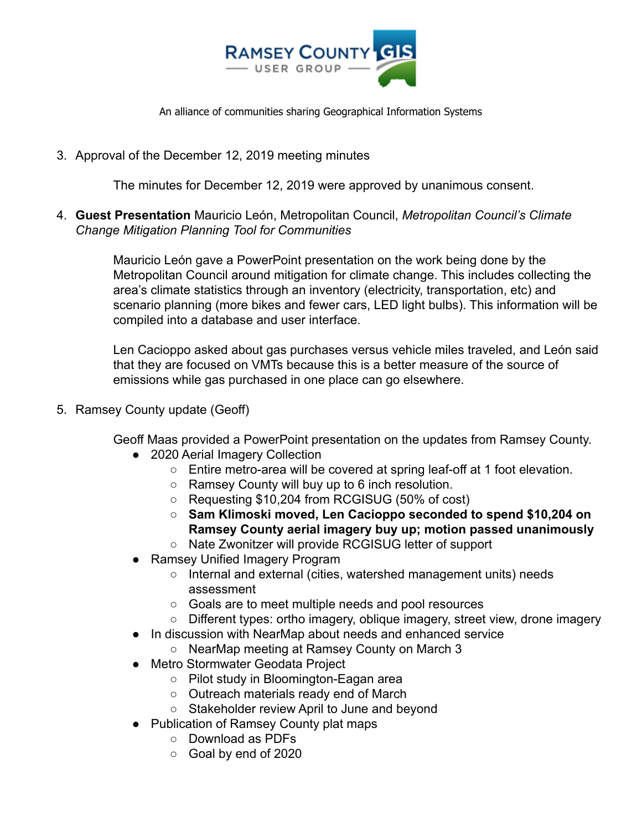

3. Approval of the December 12, 2019 meeting minutes

The minutes for December 12, 2019 were approved by unanimous consent.

4. **Guest Presentation** Mauricio León, Metropolitan Council, *Metropolitan Council's Climate Change Mitigation Planning Tool for Communities*

> Mauricio León gave a PowerPoint presentation on the work being done by the Metropolitan Council around mitigation for climate change. This includes collecting the area's climate statistics through an inventory (electricity, transportation, etc) and scenario planning (more bikes and fewer cars, LED light bulbs). This information will be compiled into a database and user interface.

> Len Cacioppo asked about gas purchases versus vehicle miles traveled, and León said that they are focused on VMTs because this is a better measure of the source of emissions while gas purchased in one place can go elsewhere.

5. Ramsey County update (Geoff)

Geoff Maas provided a PowerPoint presentation on the updates from Ramsey County.

- 2020 Aerial Imagery Collection
	- Entire metro-area will be covered at spring leaf-off at 1 foot elevation.
	- Ramsey County will buy up to 6 inch resolution.
	- Requesting \$10,204 from RCGISUG (50% of cost)
	- **○ Sam Klimoski moved, Len Cacioppo seconded to spend \$10,204 on Ramsey County aerial imagery buy up; motion passed unanimously**
	- Nate Zwonitzer will provide RCGISUG letter of support
- Ramsey Unified Imagery Program
	- Internal and external (cities, watershed management units) needs assessment
	- Goals are to meet multiple needs and pool resources
	- Different types: ortho imagery, oblique imagery, street view, drone imagery
- In discussion with NearMap about needs and enhanced service
	- NearMap meeting at Ramsey County on March 3
- Metro Stormwater Geodata Project
	- Pilot study in Bloomington-Eagan area
	- Outreach materials ready end of March
	- Stakeholder review April to June and beyond
- Publication of Ramsey County plat maps
	- Download as PDFs
	- Goal by end of 2020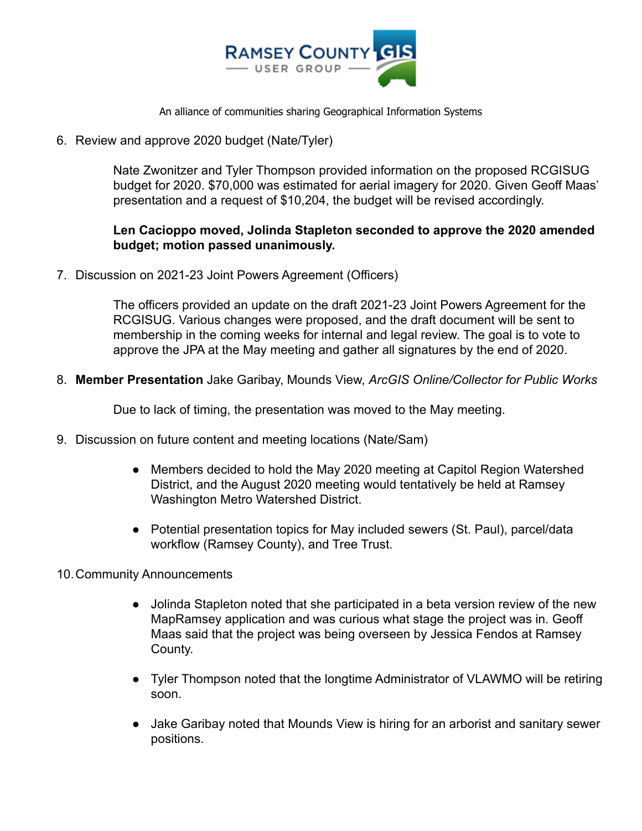

6. Review and approve 2020 budget (Nate/Tyler)

Nate Zwonitzer and Tyler Thompson provided information on the proposed RCGISUG budget for 2020. \$70,000 was estimated for aerial imagery for 2020. Given Geoff Maas' presentation and a request of \$10,204, the budget will be revised accordingly.

## **Len Cacioppo moved, Jolinda Stapleton seconded to approve the 2020 amended budget; motion passed unanimously.**

7. Discussion on 2021-23 Joint Powers Agreement (Officers)

The officers provided an update on the draft 2021-23 Joint Powers Agreement for the RCGISUG. Various changes were proposed, and the draft document will be sent to membership in the coming weeks for internal and legal review. The goal is to vote to approve the JPA at the May meeting and gather all signatures by the end of 2020.

8. **Member Presentation** Jake Garibay, Mounds View, *ArcGIS Online/Collector for Public Works*

Due to lack of timing, the presentation was moved to the May meeting.

- 9. Discussion on future content and meeting locations (Nate/Sam)
	- Members decided to hold the May 2020 meeting at Capitol Region Watershed District, and the August 2020 meeting would tentatively be held at Ramsey Washington Metro Watershed District.
	- Potential presentation topics for May included sewers (St. Paul), parcel/data workflow (Ramsey County), and Tree Trust.
- 10.Community Announcements
	- Jolinda Stapleton noted that she participated in a beta version review of the new MapRamsey application and was curious what stage the project was in. Geoff Maas said that the project was being overseen by Jessica Fendos at Ramsey County.
	- Tyler Thompson noted that the longtime Administrator of VLAWMO will be retiring soon.
	- Jake Garibay noted that Mounds View is hiring for an arborist and sanitary sewer positions.